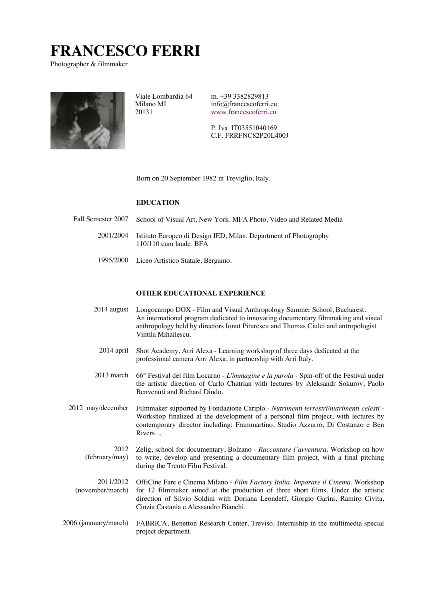# **FRANCESCO FERRI**

Photographer & filmmaker



Viale Lombardia 64 Milano MI 20131

m. +39 3382829813 info@francescoferri.eu www.francescoferri.eu

P. Iva IT03551040169 C.F. FRRFNC82P20L400J

Born on 20 September 1982 in Treviglio, Italy.

# **EDUCATION**

- Fall Semester 2007 School of Visual Art, New York. MFA Photo, Video and Related Media
	- 2001/2004 Istituto Europeo di Design IED, Milan. Department of Photography 110/110 cum laude. BFA
	- 1995/2000 Liceo Artistico Statale, Bergamo.

# **OTHER EDUCATIONAL EXPERIENCE**

- 2014 august Longocampo DOX - Film and Visual Anthropology Summer School, Bucharest. An international program dedicated to innovating documentary filmmaking and visual anthropology held by directors Ionut Piturescu and Thomas Ciulei and antropologist Vintila Mihailescu.
- 2014 april Shot Academy, Arri Alexa - Learning workshop of three days dedicated at the professional camera Arri Alexa, in partnership with Arri Italy.
- 2013 march 66° Festival del film Locarno - *L'immagine e la parola -* Spin-off of the Festival under the artistic direction of Carlo Chatrian with lectures by Aleksandr Sokurov, Paolo Benvenuti and Richard Dindo.
- 2012 may/december Filmmaker supported by Fondazione Cariplo - *Nutrimenti terrestri/nutrimenti celesti* - Workshop finalized at the development of a personal film project, with lectures by contemporary director including: Frammartino, Studio Azzurro, Di Costanzo e Ben Rivers…
	- 2012 (february/may) Zelig, school for documentary, Bolzano - *Raccontare l'avventura*. Workshop on how to write, develop and presenting a documentary film project, with a final pitching during the Trento Film Festival.
- 2011/2012 (november/march) OffiCine Fare e Cinema Milano - *Film Factory Italia, Imparare il Cinema*. Workshop for 12 filmmaker aimed at the production of three short films. Under the artistic direction of Silvio Soldini with Doriana Leondeff, Giorgio Garini, Ramiro Civita, Cinzia Castania e Alessandro Bianchi.
- 2006 (jannuary/march) FABRICA, Benetton Research Center, Treviso. Interniship in the multimedia special project department.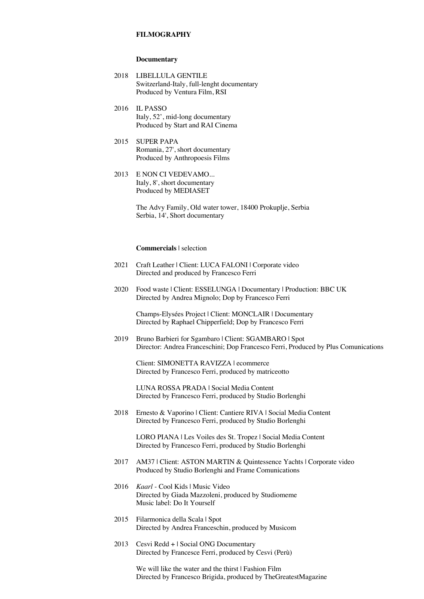# **FILMOGRAPHY**

#### **Documentary**

- 2018 LIBELLULA GENTILE Switzerland-Italy, full-lenght documentary Produced by Ventura Film, RSI
- 2016 IL PASSO Italy, 52', mid-long documentary Produced by Start and RAI Cinema
- 2015 SUPER PAPA Romania, 27', short documentary Produced by Anthropoesis Films
- 2013 E NON CI VEDEVAMO... Italy, 8', short documentary Produced by MEDIASET

The Advy Family, Old water tower, 18400 Prokuplje, Serbia Serbia, 14', Short documentary

#### **Commercials** | selection

- 2021 Craft Leather | Client: LUCA FALONI | Corporate video Directed and produced by Francesco Ferri
- 2020 Food waste | Client: ESSELUNGA | Documentary | Production: BBC UK Directed by Andrea Mignolo; Dop by Francesco Ferri

Champs-Elysées Project | Client: MONCLAIR | Documentary Directed by Raphael Chipperfield; Dop by Francesco Ferri

2019 Bruno Barbieri for Sgambaro | Client: SGAMBARO | Spot Director: Andrea Franceschini; Dop Francesco Ferri, Produced by Plus Comunications

Client: SIMONETTA RAVIZZA | ecommerce Directed by Francesco Ferri, produced by matriceotto

LUNA ROSSA PRADA | Social Media Content Directed by Francesco Ferri, produced by Studio Borlenghi

2018 Ernesto & Vaporino | Client: Cantiere RIVA | Social Media Content Directed by Francesco Ferri, produced by Studio Borlenghi

LORO PIANA | Les Voiles des St. Tropez | Social Media Content Directed by Francesco Ferri, produced by Studio Borlenghi

- 2017 AM37 | Client: ASTON MARTIN & Quintessence Yachts | Corporate video Produced by Studio Borlenghi and Frame Comunications
- 2016 *Kaarl* - Cool Kids | Music Video Directed by Giada Mazzoleni, produced by Studiomeme Music label: Do It Yourself
- 2015 Filarmonica della Scala | Spot Directed by Andrea Franceschin, produced by Musicom
- 2013 Cesvi Redd + | Social ONG Documentary Directed by Francesce Ferri, produced by Cesvi (Perù)

We will like the water and the thirst | Fashion Film Directed by Francesco Brigida, produced by TheGreatestMagazine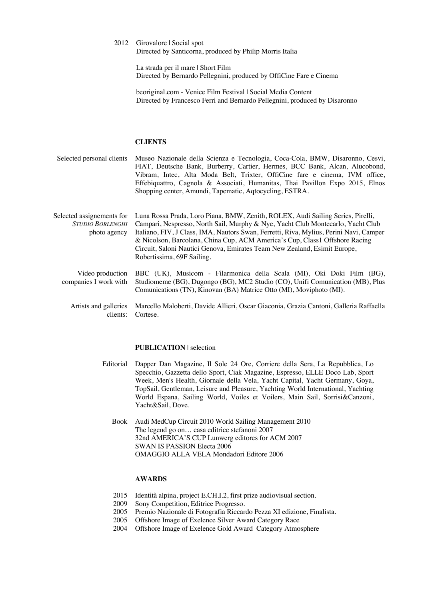## 2012 Girovalore | Social spot Directed by Santicorna, produced by Philip Morris Italia

La strada per il mare | Short Film Directed by Bernardo Pellegnini, produced by OffiCine Fare e Cinema

beoriginal.com - Venice Film Festival | Social Media Content Directed by Francesco Ferri and Bernardo Pellegnini, produced by Disaronno

## **CLIENTS**

Selected personal clients Museo Nazionale della Scienza e Tecnologia, Coca-Cola, BMW, Disaronno, Cesvi, FIAT, Deutsche Bank, Burberry, Cartier, Hermes, BCC Bank, Alcan, Alucobond, Vibram, Intec, Alta Moda Belt, Trixter, OffiCine fare e cinema, IVM office, Effebiquattro, Cagnola & Associati, Humanitas, Thai Pavillon Expo 2015, Elnos Shopping center, Amundi, Tapematic, Aqtocycling, ESTRA.

- Selected assignements for *STUDIO BORLENGHI* photo agency Luna Rossa Prada, Loro Piana, BMW, Zenith, ROLEX, Audi Sailing Series, Pirelli, Campari, Nespresso, North Sail, Murphy & Nye, Yacht Club Montecarlo, Yacht Club Italiano, FIV, J Class, IMA, Nautors Swan, Ferretti, Riva, Mylius, Perini Navi, Camper & Nicolson, Barcolana, China Cup, ACM America's Cup, Class1 Offshore Racing Circuit, Saloni Nautici Genova, Emirates Team New Zealand, Esimit Europe, Robertissima, 69F Sailing.
	- Video production companies I work with BBC (UK), Musicom - Filarmonica della Scala (MI), Oki Doki Film (BG), Studiomeme (BG), Dugongo (BG), MC2 Studio (CO), Unifi Comunication (MB), Plus Comunications (TN), Kinovan (BA) Matrice Otto (MI), Moviphoto (MI).
		- Artists and galleries clients: Marcello Maloberti, Davide Allieri, Oscar Giaconia, Grazia Cantoni, Galleria Raffaella Cortese.

#### **PUBLICATION** | selection

- Editorial Dapper Dan Magazine, Il Sole 24 Ore, Corriere della Sera, La Repubblica, Lo Specchio, Gazzetta dello Sport, Ciak Magazine, Espresso, ELLE Doco Lab, Sport Week, Men's Health, Giornale della Vela, Yacht Capital, Yacht Germany, Goya, TopSail, Gentleman, Leisure and Pleasure, Yachting World International, Yachting World Espana, Sailing World, Voiles et Voilers, Main Sail, Sorrisi&Canzoni, Yacht&Sail, Dove.
	- Book Audi MedCup Circuit 2010 World Sailing Management 2010 The legend go on… casa editrice stefanoni 2007 32nd AMERICA'S CUP Lunwerg editores for ACM 2007 SWAN IS PASSION Electa 2006 OMAGGIO ALLA VELA Mondadori Editore 2006

# **AWARDS**

- 2015 Identità alpina, project E.CH.I.2, first prize audiovisual section.
- 2009 Sony Competition, Editrice Progresso.
- 2005 Premio Nazionale di Fotografia Riccardo Pezza XI edizione, Finalista.
- 2005 Offshore Image of Exelence Silver Award Category Race
- 2004 Offshore Image of Exelence Gold Award Category Atmosphere